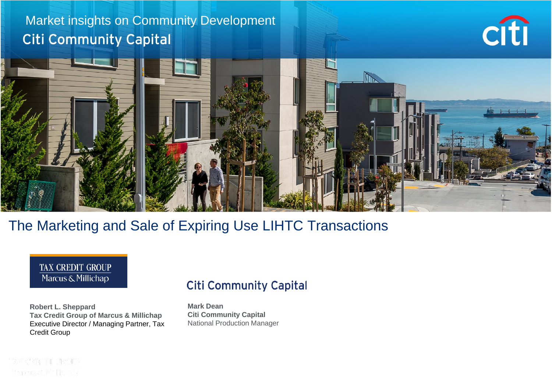### Market insights on Community Development **Citi Community Capital**





#### The Marketing and Sale of Expiring Use LIHTC Transactions



**Robert L. Sheppard Tax Credit Group of Marcus & Millichap** Executive Director / Managing Partner, Tax Credit Group

#### **Citi Community Capital**

**Mark Dean Citi Community Capital** National Production Manager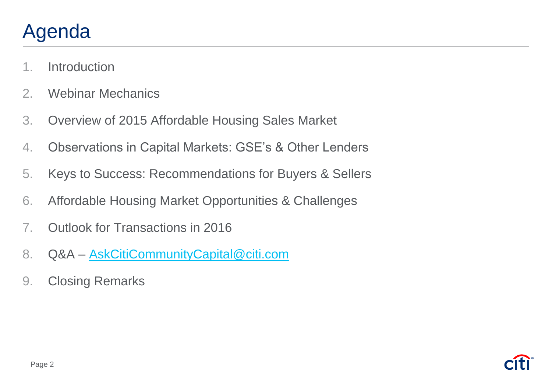# Agenda

- 1. Introduction
- 2. Webinar Mechanics
- 3. Overview of 2015 Affordable Housing Sales Market
- 4. Observations in Capital Markets: GSE's & Other Lenders
- 5. Keys to Success: Recommendations for Buyers & Sellers
- 6. Affordable Housing Market Opportunities & Challenges
- 7. Outlook for Transactions in 2016
- 8. Q&A [AskCitiCommunityCapital@citi.com](mailto:AskCitiCommunityCapital@citi.com)
- 9. Closing Remarks

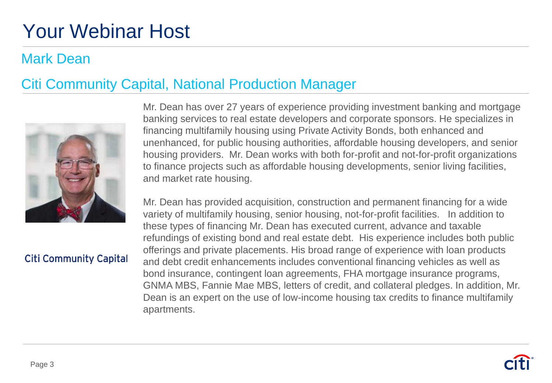# Your Webinar Host

#### Mark Dean

#### Citi Community Capital, National Production Manager



#### **Citi Community Capital**

Mr. Dean has over 27 years of experience providing investment banking and mortgage banking services to real estate developers and corporate sponsors. He specializes in financing multifamily housing using Private Activity Bonds, both enhanced and unenhanced, for public housing authorities, affordable housing developers, and senior housing providers. Mr. Dean works with both for-profit and not-for-profit organizations to finance projects such as affordable housing developments, senior living facilities, and market rate housing.

Mr. Dean has provided acquisition, construction and permanent financing for a wide variety of multifamily housing, senior housing, not-for-profit facilities. In addition to these types of financing Mr. Dean has executed current, advance and taxable refundings of existing bond and real estate debt. His experience includes both public offerings and private placements. His broad range of experience with loan products and debt credit enhancements includes conventional financing vehicles as well as bond insurance, contingent loan agreements, FHA mortgage insurance programs, GNMA MBS, Fannie Mae MBS, letters of credit, and collateral pledges. In addition, Mr. Dean is an expert on the use of low-income housing tax credits to finance multifamily apartments.

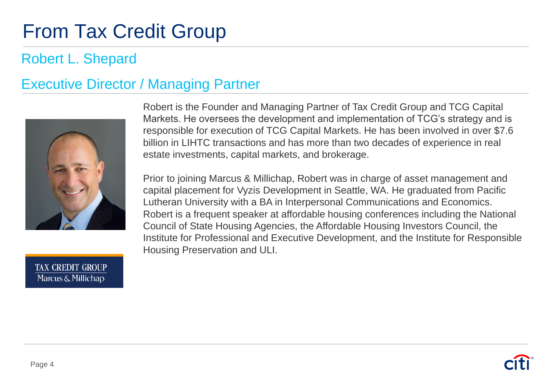# **From Tax Credit Group**

### Robert L. Shepard

### Executive Director / Managing Partner



Robert is the Founder and Managing Partner of Tax Credit Group and TCG Capital Markets. He oversees the development and implementation of TCG's strategy and is responsible for execution of TCG Capital Markets. He has been involved in over \$7.6 billion in LIHTC transactions and has more than two decades of experience in real estate investments, capital markets, and brokerage.

Prior to joining Marcus & Millichap, Robert was in charge of asset management and capital placement for Vyzis Development in Seattle, WA. He graduated from Pacific Lutheran University with a BA in Interpersonal Communications and Economics. Robert is a frequent speaker at affordable housing conferences including the National Council of State Housing Agencies, the Affordable Housing Investors Council, the Institute for Professional and Executive Development, and the Institute for Responsible Housing Preservation and ULI.

**TAX CREDIT GROUP** Marcus & Millichap

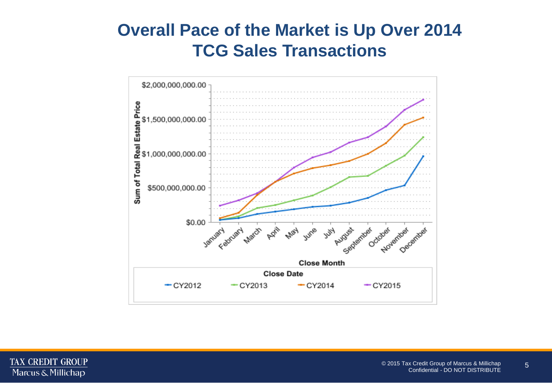### **Overall Pace of the Market is Up Over 2014 TCG Sales Transactions**



TAX CREDIT GROUP Marcus & Millichap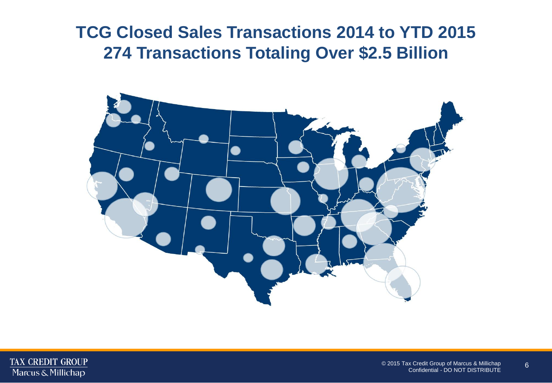### **TCG Closed Sales Transactions 2014 to YTD 2015 274 Transactions Totaling Over \$2.5 Billion**



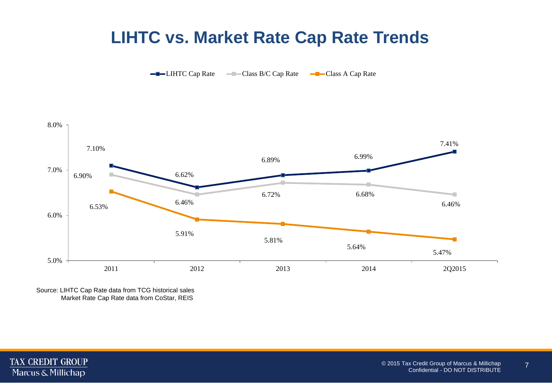### **LIHTC vs. Market Rate Cap Rate Trends**

LIHTC Cap Rate Class B/C Cap Rate Class A Cap Rate



Source: LIHTC Cap Rate data from TCG historical sales Market Rate Cap Rate data from CoStar, REIS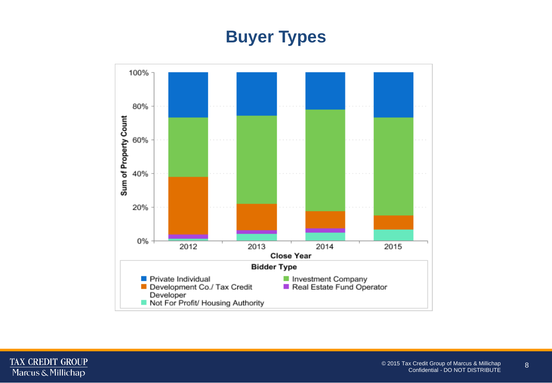## **Buyer Types**

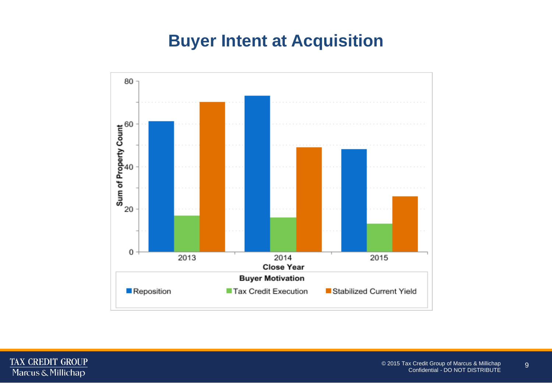## **Buyer Intent at Acquisition**

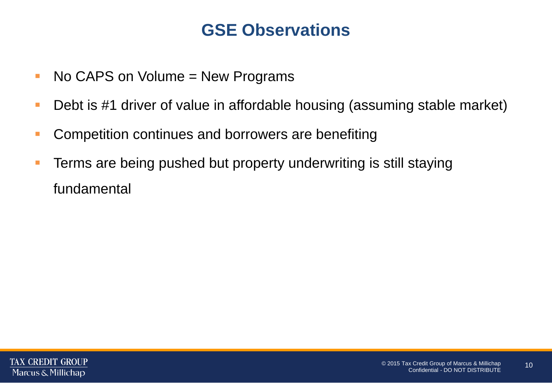### **GSE Observations**

- No CAPS on Volume = New Programs
- **Debt is #1 driver of value in affordable housing (assuming stable market)**
- **-** Competition continues and borrowers are benefiting
- **Terms are being pushed but property underwriting is still staying** fundamental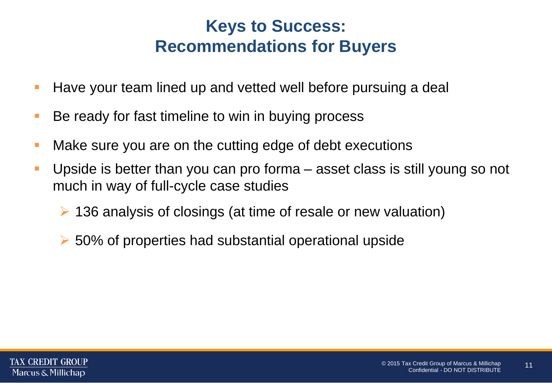## **Keys to Success: Recommendations for Buyers**

- Have your team lined up and vetted well before pursuing a deal
- Be ready for fast timeline to win in buying process
- **Nake sure you are on the cutting edge of debt executions**
- Upside is better than you can pro forma asset class is still young so not much in way of full-cycle case studies
	- 136 analysis of closings (at time of resale or new valuation)
	- $\geq$  50% of properties had substantial operational upside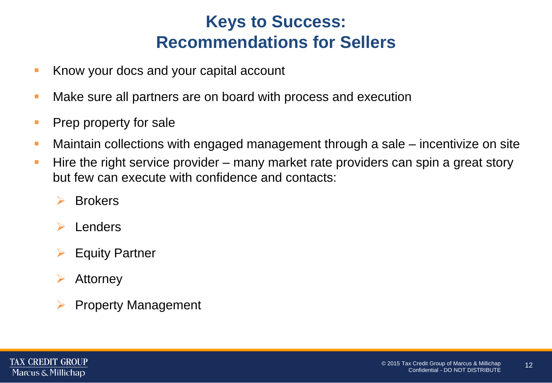## **Keys to Success: Recommendations for Sellers**

- Know your docs and your capital account
- **Make sure all partners are on board with process and execution**
- **Prep property for sale**
- Maintain collections with engaged management through a sale incentivize on site
- **Hire the right service provider** many market rate providers can spin a great story but few can execute with confidence and contacts:
	- $\triangleright$  Brokers
	- Lenders
	- $\triangleright$  Equity Partner
	- $\triangleright$  Attorney
	- $\triangleright$  Property Management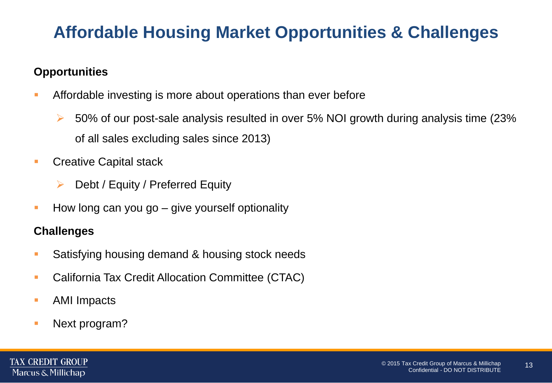## **Affordable Housing Market Opportunities & Challenges**

#### **Opportunities**

- Affordable investing is more about operations than ever before
	- $\triangleright$  50% of our post-sale analysis resulted in over 5% NOI growth during analysis time (23%) of all sales excluding sales since 2013)
- **Creative Capital stack** 
	- $\triangleright$  Debt / Equity / Preferred Equity
- $\blacksquare$  How long can you go give yourself optionality

#### **Challenges**

- **Satisfying housing demand & housing stock needs**
- **E.** California Tax Credit Allocation Committee (CTAC)
- **AMI Impacts**
- Next program?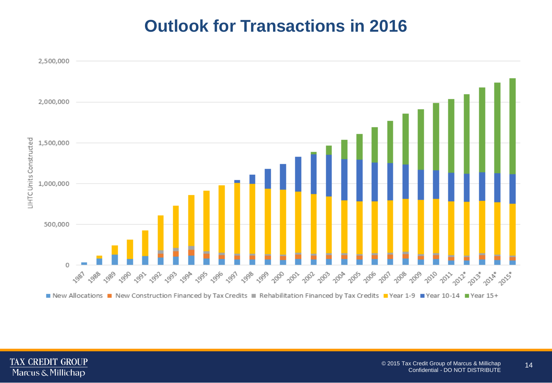## **Outlook for Transactions in 2016**

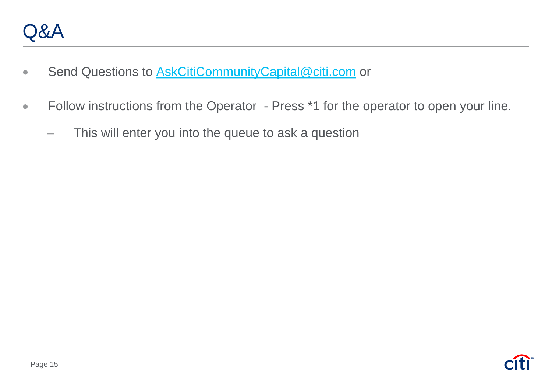- Send Questions to **[AskCitiCommunityCapital@citi.com](mailto:AskCitiCommunityCapital@citi.com)** or
- Follow instructions from the Operator Press \*1 for the operator to open your line.
	- This will enter you into the queue to ask a question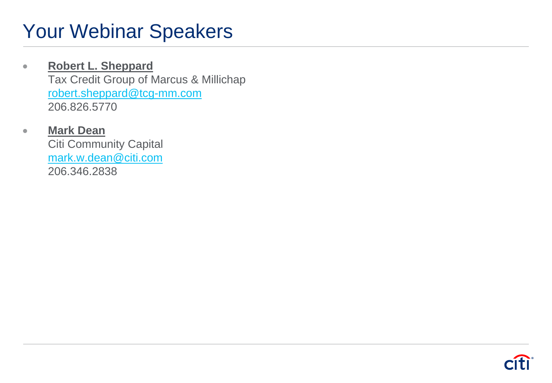# Your Webinar Speakers

#### **Robert L. Sheppard**  Tax Credit Group of Marcus & Millichap [robert.sheppard@tcg-mm.com](mailto:michael.murphy@kattenlaw.com) 206.826.5770

#### **Mark Dean**

Citi Community Capital [mark.w.dean@citi.com](mailto:mark.w.dean@citi.com) 206.346.2838

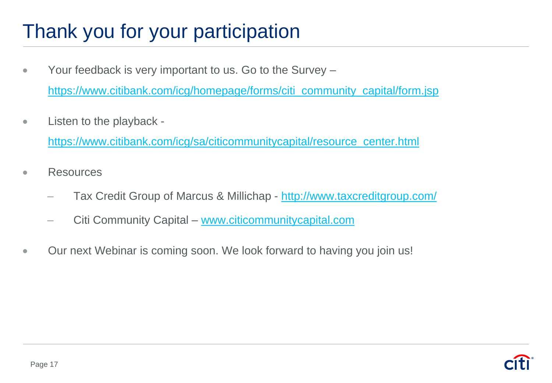# Thank you for your participation

- Your feedback is very important to us. Go to the Survey [https://www.citibank.com/icg/homepage/forms/citi\\_community\\_capital/form.jsp](https://www.citibank.com/icg/homepage/forms/citi_community_capital/form.jsp)
- Listen to the playback -

[https://www.citibank.com/icg/sa/citicommunitycapital/resource\\_center.html](https://www.citibank.com/icg/sa/citicommunitycapital/resource_center.html)

- Resources
	- Tax Credit Group of Marcus & Millichap <http://www.taxcreditgroup.com/>
	- Citi Community Capital [www.citicommunitycapital.com](http://www.citicommunitycapital.com/)
- Our next Webinar is coming soon. We look forward to having you join us!